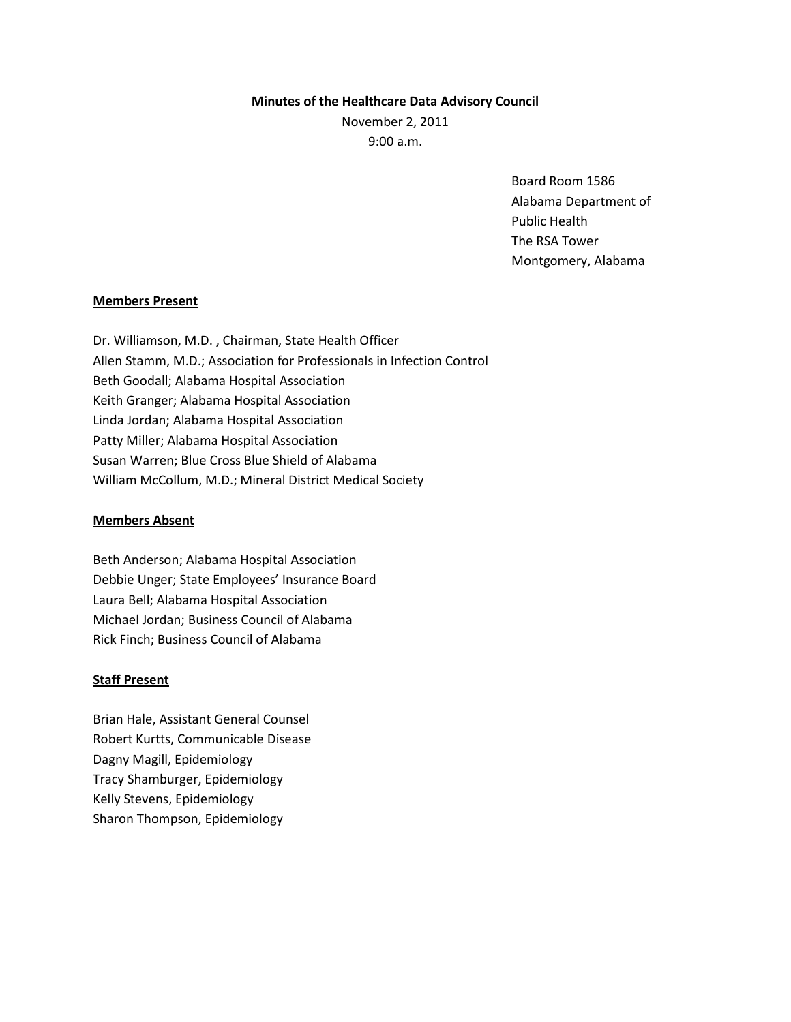## **Minutes of the Healthcare Data Advisory Council**

November 2, 2011

9:00 a.m.

Board Room 1586 Alabama Department of Public Health The RSA Tower Montgomery, Alabama

# **Members Present**

Dr. Williamson, M.D. , Chairman, State Health Officer Allen Stamm, M.D.; Association for Professionals in Infection Control Beth Goodall; Alabama Hospital Association Keith Granger; Alabama Hospital Association Linda Jordan; Alabama Hospital Association Patty Miller; Alabama Hospital Association Susan Warren; Blue Cross Blue Shield of Alabama William McCollum, M.D.; Mineral District Medical Society

# **Members Absent**

Beth Anderson; Alabama Hospital Association Debbie Unger; State Employees' Insurance Board Laura Bell; Alabama Hospital Association Michael Jordan; Business Council of Alabama Rick Finch; Business Council of Alabama

# **Staff Present**

Brian Hale, Assistant General Counsel Robert Kurtts, Communicable Disease Dagny Magill, Epidemiology Tracy Shamburger, Epidemiology Kelly Stevens, Epidemiology Sharon Thompson, Epidemiology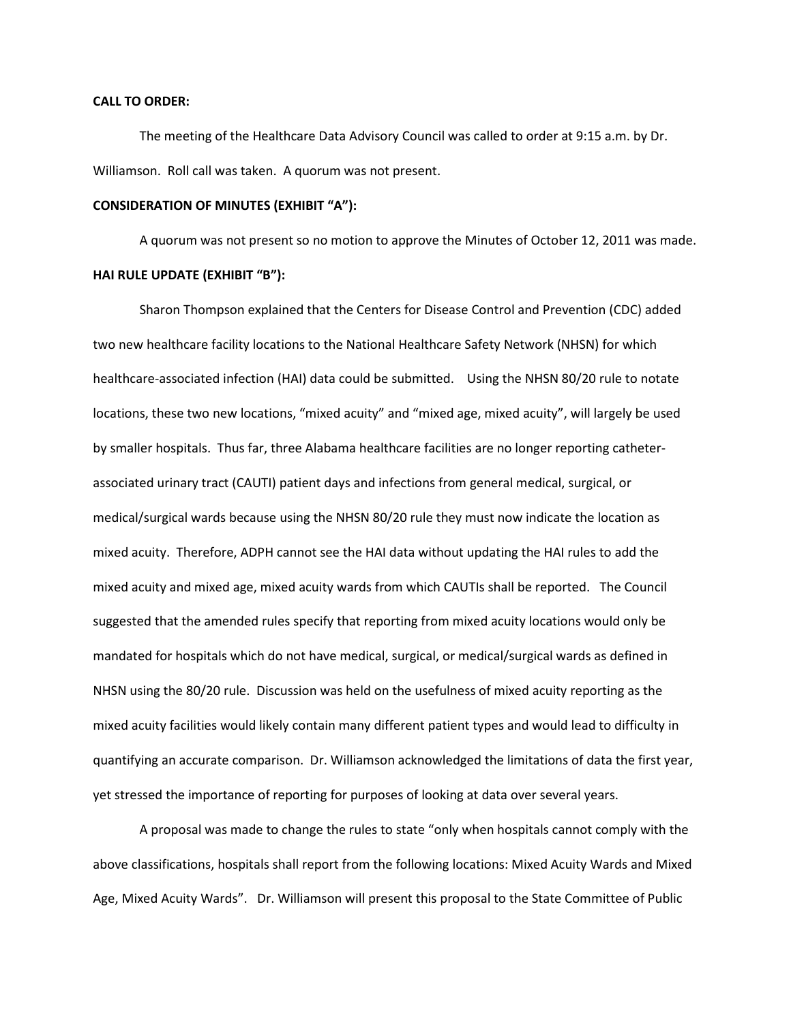#### **CALL TO ORDER:**

The meeting of the Healthcare Data Advisory Council was called to order at 9:15 a.m. by Dr. Williamson. Roll call was taken. A quorum was not present.

# **CONSIDERATION OF MINUTES (EXHIBIT "A"):**

A quorum was not present so no motion to approve the Minutes of October 12, 2011 was made. **HAI RULE UPDATE (EXHIBIT "B"):**

Sharon Thompson explained that the Centers for Disease Control and Prevention (CDC) added two new healthcare facility locations to the National Healthcare Safety Network (NHSN) for which healthcare-associated infection (HAI) data could be submitted. Using the NHSN 80/20 rule to notate locations, these two new locations, "mixed acuity" and "mixed age, mixed acuity", will largely be used by smaller hospitals. Thus far, three Alabama healthcare facilities are no longer reporting catheterassociated urinary tract (CAUTI) patient days and infections from general medical, surgical, or medical/surgical wards because using the NHSN 80/20 rule they must now indicate the location as mixed acuity. Therefore, ADPH cannot see the HAI data without updating the HAI rules to add the mixed acuity and mixed age, mixed acuity wards from which CAUTIs shall be reported. The Council suggested that the amended rules specify that reporting from mixed acuity locations would only be mandated for hospitals which do not have medical, surgical, or medical/surgical wards as defined in NHSN using the 80/20 rule. Discussion was held on the usefulness of mixed acuity reporting as the mixed acuity facilities would likely contain many different patient types and would lead to difficulty in quantifying an accurate comparison. Dr. Williamson acknowledged the limitations of data the first year, yet stressed the importance of reporting for purposes of looking at data over several years.

A proposal was made to change the rules to state "only when hospitals cannot comply with the above classifications, hospitals shall report from the following locations: Mixed Acuity Wards and Mixed Age, Mixed Acuity Wards". Dr. Williamson will present this proposal to the State Committee of Public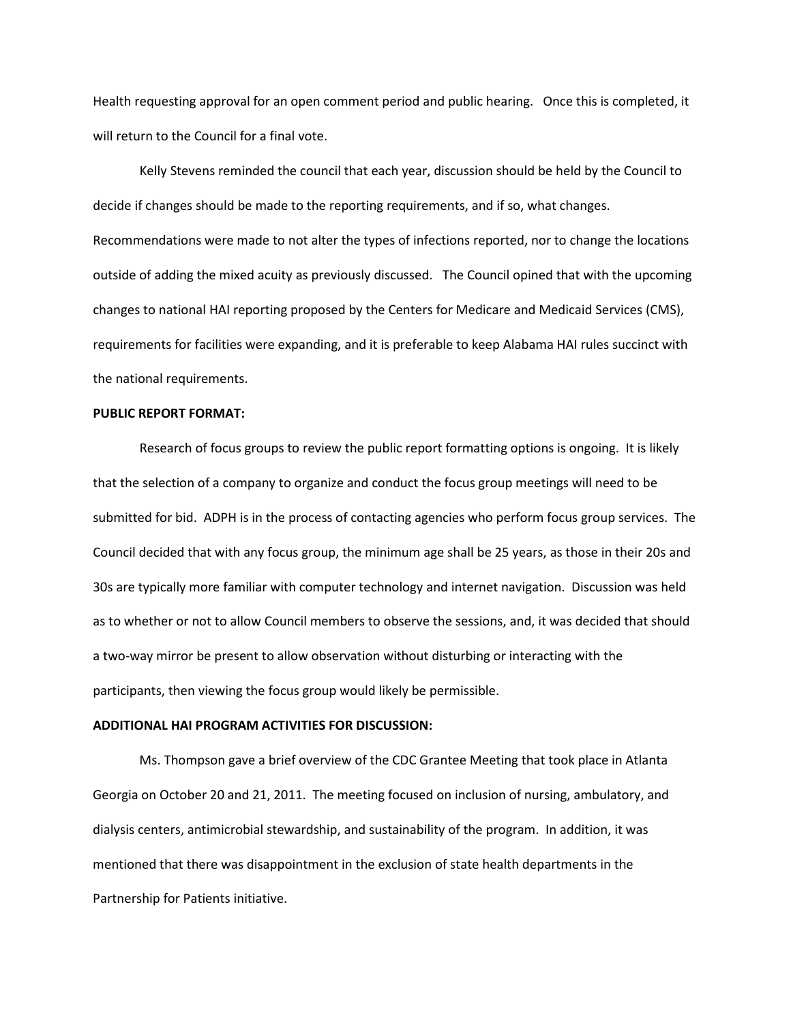Health requesting approval for an open comment period and public hearing. Once this is completed, it will return to the Council for a final vote.

Kelly Stevens reminded the council that each year, discussion should be held by the Council to decide if changes should be made to the reporting requirements, and if so, what changes. Recommendations were made to not alter the types of infections reported, nor to change the locations outside of adding the mixed acuity as previously discussed. The Council opined that with the upcoming changes to national HAI reporting proposed by the Centers for Medicare and Medicaid Services (CMS), requirements for facilities were expanding, and it is preferable to keep Alabama HAI rules succinct with the national requirements.

## **PUBLIC REPORT FORMAT:**

Research of focus groups to review the public report formatting options is ongoing. It is likely that the selection of a company to organize and conduct the focus group meetings will need to be submitted for bid. ADPH is in the process of contacting agencies who perform focus group services. The Council decided that with any focus group, the minimum age shall be 25 years, as those in their 20s and 30s are typically more familiar with computer technology and internet navigation. Discussion was held as to whether or not to allow Council members to observe the sessions, and, it was decided that should a two-way mirror be present to allow observation without disturbing or interacting with the participants, then viewing the focus group would likely be permissible.

#### **ADDITIONAL HAI PROGRAM ACTIVITIES FOR DISCUSSION:**

Ms. Thompson gave a brief overview of the CDC Grantee Meeting that took place in Atlanta Georgia on October 20 and 21, 2011. The meeting focused on inclusion of nursing, ambulatory, and dialysis centers, antimicrobial stewardship, and sustainability of the program. In addition, it was mentioned that there was disappointment in the exclusion of state health departments in the Partnership for Patients initiative.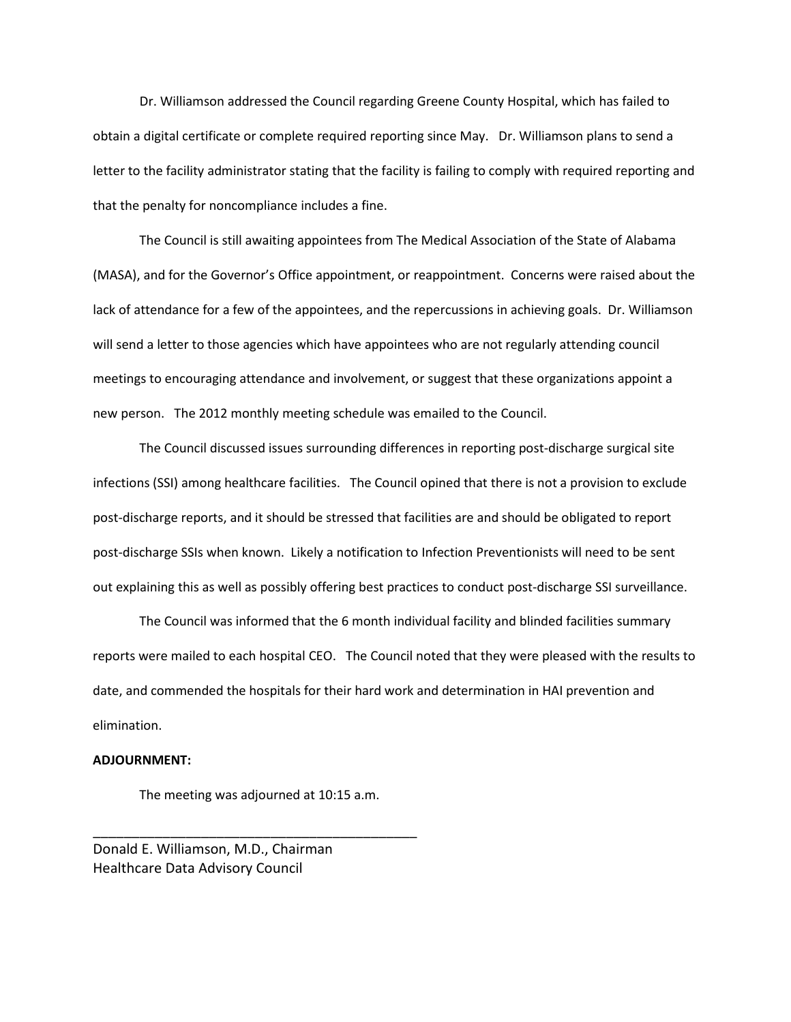Dr. Williamson addressed the Council regarding Greene County Hospital, which has failed to obtain a digital certificate or complete required reporting since May. Dr. Williamson plans to send a letter to the facility administrator stating that the facility is failing to comply with required reporting and that the penalty for noncompliance includes a fine.

The Council is still awaiting appointees from The Medical Association of the State of Alabama (MASA), and for the Governor's Office appointment, or reappointment. Concerns were raised about the lack of attendance for a few of the appointees, and the repercussions in achieving goals. Dr. Williamson will send a letter to those agencies which have appointees who are not regularly attending council meetings to encouraging attendance and involvement, or suggest that these organizations appoint a new person. The 2012 monthly meeting schedule was emailed to the Council.

The Council discussed issues surrounding differences in reporting post-discharge surgical site infections (SSI) among healthcare facilities. The Council opined that there is not a provision to exclude post-discharge reports, and it should be stressed that facilities are and should be obligated to report post-discharge SSIs when known. Likely a notification to Infection Preventionists will need to be sent out explaining this as well as possibly offering best practices to conduct post-discharge SSI surveillance.

The Council was informed that the 6 month individual facility and blinded facilities summary reports were mailed to each hospital CEO. The Council noted that they were pleased with the results to date, and commended the hospitals for their hard work and determination in HAI prevention and elimination.

## **ADJOURNMENT:**

The meeting was adjourned at 10:15 a.m.

\_\_\_\_\_\_\_\_\_\_\_\_\_\_\_\_\_\_\_\_\_\_\_\_\_\_\_\_\_\_\_\_\_\_\_\_\_\_\_\_\_\_

Donald E. Williamson, M.D., Chairman Healthcare Data Advisory Council